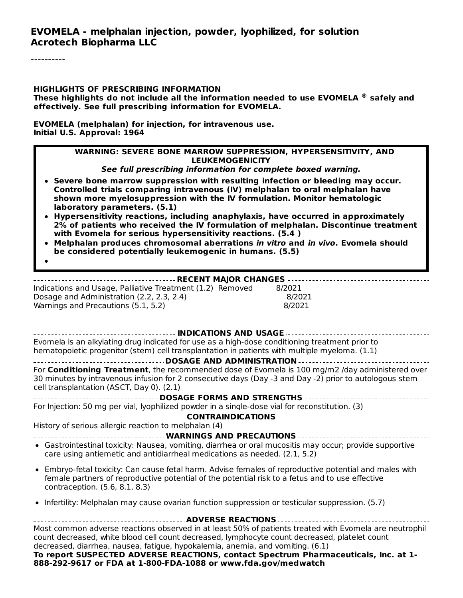----------

#### **HIGHLIGHTS OF PRESCRIBING INFORMATION**

**These highlights do not include all the information needed to use EVOMELA safely and ®effectively. See full prescribing information for EVOMELA.**

**EVOMELA (melphalan) for injection, for intravenous use. Initial U.S. Approval: 1964**

#### **WARNING: SEVERE BONE MARROW SUPPRESSION, HYPERSENSITIVITY, AND LEUKEMOGENICITY**

**See full prescribing information for complete boxed warning.**

- **Severe bone marrow suppression with resulting infection or bleeding may occur. Controlled trials comparing intravenous (IV) melphalan to oral melphalan have shown more myelosuppression with the IV formulation. Monitor hematologic laboratory parameters. (5.1)**
- **Hypersensitivity reactions, including anaphylaxis, have occurred in approximately 2% of patients who received the IV formulation of melphalan. Discontinue treatment with Evomela for serious hypersensitivity reactions. (5.4 )**
- **Melphalan produces chromosomal aberrations in vitro and in vivo. Evomela should be considered potentially leukemogenic in humans. (5.5)**
- 

#### **RECENT MAJOR CHANGES**

Indications and Usage, Palliative Treatment (1.2) Removed 8/2021 Dosage and Administration (2.2, 2.3, 2.4) 8/2021 Warnings and Precautions (5.1, 5.2) 8/2021

| <b>INDICATIONS AND USAGE -</b>                                                                                                                                                                                                                                                            |  |  |  |
|-------------------------------------------------------------------------------------------------------------------------------------------------------------------------------------------------------------------------------------------------------------------------------------------|--|--|--|
| Evomela is an alkylating drug indicated for use as a high-dose conditioning treatment prior to                                                                                                                                                                                            |  |  |  |
| hematopoietic progenitor (stem) cell transplantation in patients with multiple myeloma. (1.1)                                                                                                                                                                                             |  |  |  |
| <b>DOSAGE AND ADMINISTRATION</b>                                                                                                                                                                                                                                                          |  |  |  |
| For <b>Conditioning Treatment</b> , the recommended dose of Evomela is 100 mg/m2 /day administered over<br>30 minutes by intravenous infusion for 2 consecutive days (Day -3 and Day -2) prior to autologous stem<br>cell transplantation (ASCT, Day 0). (2.1)                            |  |  |  |
| <b>DOSAGE FORMS AND STRENGTHS </b>                                                                                                                                                                                                                                                        |  |  |  |
| For Injection: 50 mg per vial, lyophilized powder in a single-dose vial for reconstitution. (3)                                                                                                                                                                                           |  |  |  |
|                                                                                                                                                                                                                                                                                           |  |  |  |
| History of serious allergic reaction to melphalan (4)                                                                                                                                                                                                                                     |  |  |  |
| <b>WARNINGS AND PRECAUTIONS</b>                                                                                                                                                                                                                                                           |  |  |  |
| • Gastrointestinal toxicity: Nausea, vomiting, diarrhea or oral mucositis may occur; provide supportive<br>care using antiemetic and antidiarrheal medications as needed. (2.1, 5.2)                                                                                                      |  |  |  |
| • Embryo-fetal toxicity: Can cause fetal harm. Advise females of reproductive potential and males with<br>female partners of reproductive potential of the potential risk to a fetus and to use effective<br>contraception. (5.6, 8.1, 8.3)                                               |  |  |  |
| • Infertility: Melphalan may cause ovarian function suppression or testicular suppression. (5.7)                                                                                                                                                                                          |  |  |  |
| <b>ADVERSE REACTIONS</b>                                                                                                                                                                                                                                                                  |  |  |  |
| Most common adverse reactions observed in at least 50% of patients treated with Evomela are neutrophil<br>count decreased, white blood cell count decreased, lymphocyte count decreased, platelet count<br>decreased, diarrhea, nausea, fatigue, hypokalemia, anemia, and vomiting. (6.1) |  |  |  |

**To report SUSPECTED ADVERSE REACTIONS, contact Spectrum Pharmaceuticals, Inc. at 1- 888-292-9617 or FDA at 1-800-FDA-1088 or www.fda.gov/medwatch**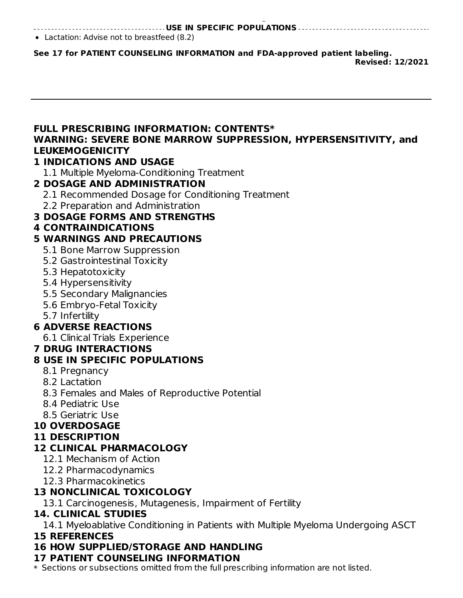**888-292-9617 or FDA at 1-800-FDA-1088 or www.fda.gov/medwatch USE IN SPECIFIC POPULATIONS**

Lactation: Advise not to breastfeed (8.2)

**See 17 for PATIENT COUNSELING INFORMATION and FDA-approved patient labeling. Revised: 12/2021**

### **FULL PRESCRIBING INFORMATION: CONTENTS\* WARNING: SEVERE BONE MARROW SUPPRESSION, HYPERSENSITIVITY, and LEUKEMOGENICITY**

#### **1 INDICATIONS AND USAGE**

1.1 Multiple Myeloma-Conditioning Treatment

### **2 DOSAGE AND ADMINISTRATION**

2.1 Recommended Dosage for Conditioning Treatment

2.2 Preparation and Administration

### **3 DOSAGE FORMS AND STRENGTHS**

### **4 CONTRAINDICATIONS**

### **5 WARNINGS AND PRECAUTIONS**

- 5.1 Bone Marrow Suppression
- 5.2 Gastrointestinal Toxicity
- 5.3 Hepatotoxicity
- 5.4 Hypersensitivity
- 5.5 Secondary Malignancies
- 5.6 Embryo-Fetal Toxicity
- 5.7 Infertility

## **6 ADVERSE REACTIONS**

6.1 Clinical Trials Experience

#### **7 DRUG INTERACTIONS**

### **8 USE IN SPECIFIC POPULATIONS**

- 8.1 Pregnancy
- 8.2 Lactation
- 8.3 Females and Males of Reproductive Potential
- 8.4 Pediatric Use
- 8.5 Geriatric Use

## **10 OVERDOSAGE**

### **11 DESCRIPTION**

### **12 CLINICAL PHARMACOLOGY**

- 12.1 Mechanism of Action
- 12.2 Pharmacodynamics
- 12.3 Pharmacokinetics

### **13 NONCLINICAL TOXICOLOGY**

13.1 Carcinogenesis, Mutagenesis, Impairment of Fertility

### **14. CLINICAL STUDIES**

14.1 Myeloablative Conditioning in Patients with Multiple Myeloma Undergoing ASCT

### **15 REFERENCES**

## **16 HOW SUPPLIED/STORAGE AND HANDLING**

### **17 PATIENT COUNSELING INFORMATION**

\* Sections or subsections omitted from the full prescribing information are not listed.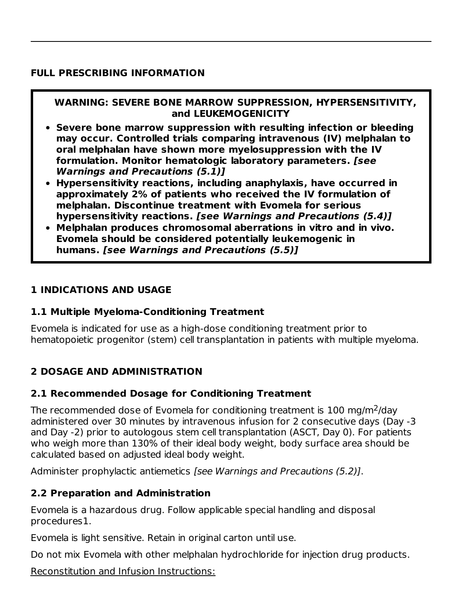#### **FULL PRESCRIBING INFORMATION**

### **WARNING: SEVERE BONE MARROW SUPPRESSION, HYPERSENSITIVITY, and LEUKEMOGENICITY**

- **Severe bone marrow suppression with resulting infection or bleeding may occur. Controlled trials comparing intravenous (IV) melphalan to oral melphalan have shown more myelosuppression with the IV formulation. Monitor hematologic laboratory parameters. [see Warnings and Precautions (5.1)]**
- **Hypersensitivity reactions, including anaphylaxis, have occurred in approximately 2% of patients who received the IV formulation of melphalan. Discontinue treatment with Evomela for serious hypersensitivity reactions. [see Warnings and Precautions (5.4)]**
- **Melphalan produces chromosomal aberrations in vitro and in vivo. Evomela should be considered potentially leukemogenic in humans. [see Warnings and Precautions (5.5)]**

#### **1 INDICATIONS AND USAGE**

#### **1.1 Multiple Myeloma-Conditioning Treatment**

Evomela is indicated for use as a high-dose conditioning treatment prior to hematopoietic progenitor (stem) cell transplantation in patients with multiple myeloma.

### **2 DOSAGE AND ADMINISTRATION**

#### **2.1 Recommended Dosage for Conditioning Treatment**

The recommended dose of Evomela for conditioning treatment is  $100$  mg/m<sup>2</sup>/day administered over 30 minutes by intravenous infusion for 2 consecutive days (Day -3 and Day -2) prior to autologous stem cell transplantation (ASCT, Day 0). For patients who weigh more than 130% of their ideal body weight, body surface area should be calculated based on adjusted ideal body weight.

Administer prophylactic antiemetics [see Warnings and Precautions (5.2)].

#### **2.2 Preparation and Administration**

Evomela is a hazardous drug. Follow applicable special handling and disposal procedures1.

Evomela is light sensitive. Retain in original carton until use.

Do not mix Evomela with other melphalan hydrochloride for injection drug products.

Reconstitution and Infusion Instructions: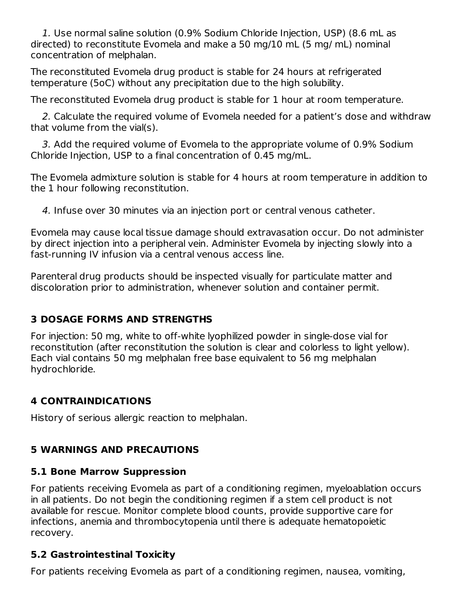1. Use normal saline solution (0.9% Sodium Chloride Injection, USP) (8.6 mL as directed) to reconstitute Evomela and make a 50 mg/10 mL (5 mg/ mL) nominal concentration of melphalan.

The reconstituted Evomela drug product is stable for 24 hours at refrigerated temperature (5oC) without any precipitation due to the high solubility.

The reconstituted Evomela drug product is stable for 1 hour at room temperature.

2. Calculate the required volume of Evomela needed for a patient's dose and withdraw that volume from the vial(s).

3. Add the required volume of Evomela to the appropriate volume of 0.9% Sodium Chloride Injection, USP to a final concentration of 0.45 mg/mL.

The Evomela admixture solution is stable for 4 hours at room temperature in addition to the 1 hour following reconstitution.

4. Infuse over 30 minutes via an injection port or central venous catheter.

Evomela may cause local tissue damage should extravasation occur. Do not administer by direct injection into a peripheral vein. Administer Evomela by injecting slowly into a fast-running IV infusion via a central venous access line.

Parenteral drug products should be inspected visually for particulate matter and discoloration prior to administration, whenever solution and container permit.

## **3 DOSAGE FORMS AND STRENGTHS**

For injection: 50 mg, white to off-white lyophilized powder in single-dose vial for reconstitution (after reconstitution the solution is clear and colorless to light yellow). Each vial contains 50 mg melphalan free base equivalent to 56 mg melphalan hydrochloride.

## **4 CONTRAINDICATIONS**

History of serious allergic reaction to melphalan.

## **5 WARNINGS AND PRECAUTIONS**

### **5.1 Bone Marrow Suppression**

For patients receiving Evomela as part of a conditioning regimen, myeloablation occurs in all patients. Do not begin the conditioning regimen if a stem cell product is not available for rescue. Monitor complete blood counts, provide supportive care for infections, anemia and thrombocytopenia until there is adequate hematopoietic recovery.

## **5.2 Gastrointestinal Toxicity**

For patients receiving Evomela as part of a conditioning regimen, nausea, vomiting,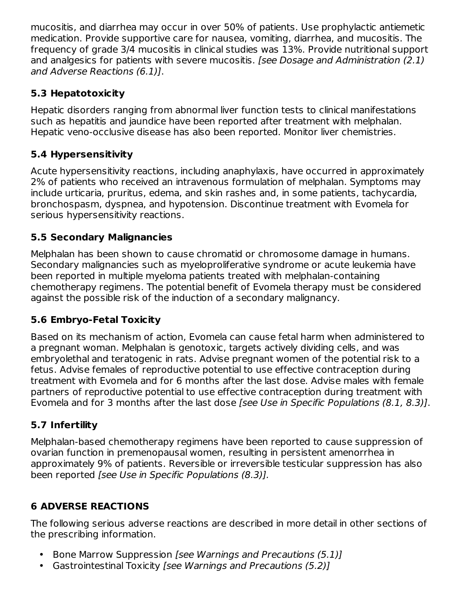mucositis, and diarrhea may occur in over 50% of patients. Use prophylactic antiemetic medication. Provide supportive care for nausea, vomiting, diarrhea, and mucositis. The frequency of grade 3/4 mucositis in clinical studies was 13%. Provide nutritional support and analgesics for patients with severe mucositis. [see Dosage and Administration (2.1) and Adverse Reactions (6.1)].

## **5.3 Hepatotoxicity**

Hepatic disorders ranging from abnormal liver function tests to clinical manifestations such as hepatitis and jaundice have been reported after treatment with melphalan. Hepatic veno-occlusive disease has also been reported. Monitor liver chemistries.

# **5.4 Hypersensitivity**

Acute hypersensitivity reactions, including anaphylaxis, have occurred in approximately 2% of patients who received an intravenous formulation of melphalan. Symptoms may include urticaria, pruritus, edema, and skin rashes and, in some patients, tachycardia, bronchospasm, dyspnea, and hypotension. Discontinue treatment with Evomela for serious hypersensitivity reactions.

## **5.5 Secondary Malignancies**

Melphalan has been shown to cause chromatid or chromosome damage in humans. Secondary malignancies such as myeloproliferative syndrome or acute leukemia have been reported in multiple myeloma patients treated with melphalan-containing chemotherapy regimens. The potential benefit of Evomela therapy must be considered against the possible risk of the induction of a secondary malignancy.

## **5.6 Embryo-Fetal Toxicity**

Based on its mechanism of action, Evomela can cause fetal harm when administered to a pregnant woman. Melphalan is genotoxic, targets actively dividing cells, and was embryolethal and teratogenic in rats. Advise pregnant women of the potential risk to a fetus. Advise females of reproductive potential to use effective contraception during treatment with Evomela and for 6 months after the last dose. Advise males with female partners of reproductive potential to use effective contraception during treatment with Evomela and for 3 months after the last dose [see Use in Specific Populations (8.1, 8.3)].

# **5.7 Infertility**

Melphalan-based chemotherapy regimens have been reported to cause suppression of ovarian function in premenopausal women, resulting in persistent amenorrhea in approximately 9% of patients. Reversible or irreversible testicular suppression has also been reported [see Use in Specific Populations (8.3)].

# **6 ADVERSE REACTIONS**

The following serious adverse reactions are described in more detail in other sections of the prescribing information.

- Bone Marrow Suppression [see Warnings and Precautions (5.1)]
- Gastrointestinal Toxicity [see Warnings and Precautions (5.2)]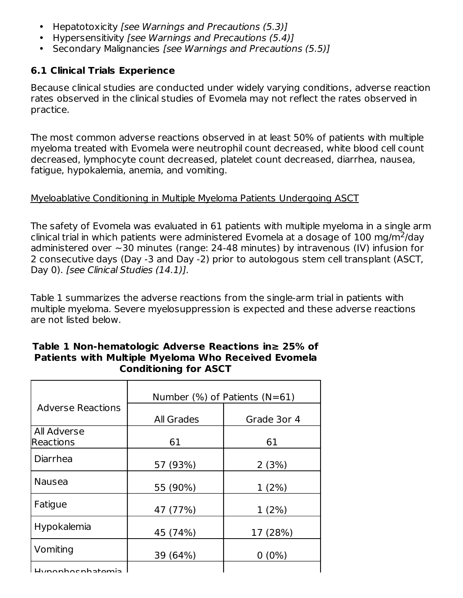- $\bullet$ Hepatotoxicity [see Warnings and Precautions (5.3)]
- Hypersensitivity [see Warnings and Precautions (5.4)]
- Secondary Malignancies [see Warnings and Precautions (5.5)]

### **6.1 Clinical Trials Experience**

Because clinical studies are conducted under widely varying conditions, adverse reaction rates observed in the clinical studies of Evomela may not reflect the rates observed in practice.

The most common adverse reactions observed in at least 50% of patients with multiple myeloma treated with Evomela were neutrophil count decreased, white blood cell count decreased, lymphocyte count decreased, platelet count decreased, diarrhea, nausea, fatigue, hypokalemia, anemia, and vomiting.

#### Myeloablative Conditioning in Multiple Myeloma Patients Undergoing ASCT

The safety of Evomela was evaluated in 61 patients with multiple myeloma in a single arm clinical trial in which patients were administered Evomela at a dosage of 100 mg/m<sup>2</sup>/day administered over ~30 minutes (range: 24-48 minutes) by intravenous (IV) infusion for 2 consecutive days (Day -3 and Day -2) prior to autologous stem cell transplant (ASCT, Day 0). [see Clinical Studies (14.1)].

Table 1 summarizes the adverse reactions from the single-arm trial in patients with multiple myeloma. Severe myelosuppression is expected and these adverse reactions are not listed below.

|                                 | Number $(\%)$ of Patients (N=61) |             |  |  |
|---------------------------------|----------------------------------|-------------|--|--|
| <b>Adverse Reactions</b>        |                                  |             |  |  |
|                                 | <b>All Grades</b>                | Grade 3or 4 |  |  |
| All Adverse                     |                                  |             |  |  |
| Reactions                       | 61                               | 61          |  |  |
| Diarrhea                        |                                  |             |  |  |
|                                 | 57 (93%)                         | 2(3%)       |  |  |
| <b>Nausea</b>                   |                                  |             |  |  |
|                                 | 55 (90%)                         | 1(2%)       |  |  |
| Fatigue                         |                                  |             |  |  |
|                                 | 47 (77%)                         | 1(2%)       |  |  |
| Hypokalemia                     |                                  |             |  |  |
|                                 | 45 (74%)                         | 17 (28%)    |  |  |
| Vomiting                        |                                  |             |  |  |
|                                 | 39 (64%)                         | $0(0\%)$    |  |  |
| اللحاظ مراجا جامل مراجع المرابا |                                  |             |  |  |

#### **Table 1 Non-hematologic Adverse Reactions in≥ 25% of Patients with Multiple Myeloma Who Received Evomela Conditioning for ASCT**

Hypophosphatemia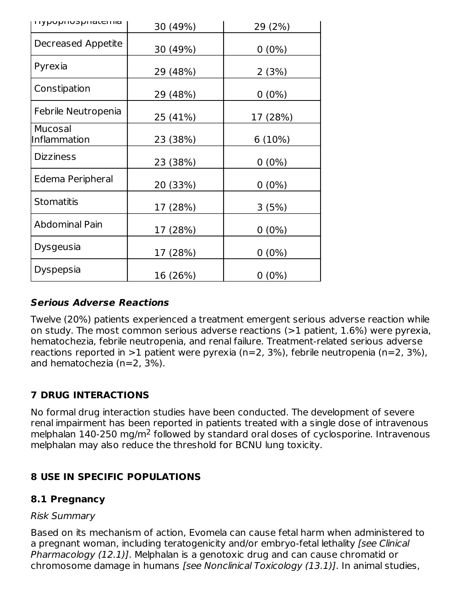| <b>Ilypupiluspilaterina</b> | 30 (49%) | 29 (2%)  |
|-----------------------------|----------|----------|
| Decreased Appetite          | 30 (49%) | $0(0\%)$ |
| Pyrexia                     | 29 (48%) | 2(3%)    |
| Constipation                | 29 (48%) | $0(0\%)$ |
| Febrile Neutropenia         | 25 (41%) | 17 (28%) |
| Mucosal<br>Inflammation     | 23 (38%) | 6(10%)   |
| <b>Dizziness</b>            | 23 (38%) | $0(0\%)$ |
| Edema Peripheral            | 20 (33%) | $0(0\%)$ |
| <b>Stomatitis</b>           | 17 (28%) | 3(5%)    |
| <b>Abdominal Pain</b>       | 17 (28%) | $0(0\%)$ |
| <b>Dysgeusia</b>            | 17 (28%) | $0(0\%)$ |
| Dyspepsia                   | 16 (26%) | $0(0\%)$ |

### **Serious Adverse Reactions**

Twelve (20%) patients experienced a treatment emergent serious adverse reaction while on study. The most common serious adverse reactions (>1 patient, 1.6%) were pyrexia, hematochezia, febrile neutropenia, and renal failure. Treatment-related serious adverse reactions reported in  $>1$  patient were pyrexia (n=2, 3%), febrile neutropenia (n=2, 3%), and hematochezia (n=2, 3%).

## **7 DRUG INTERACTIONS**

No formal drug interaction studies have been conducted. The development of severe renal impairment has been reported in patients treated with a single dose of intravenous melphalan  $140$ -250 mg/m<sup>2</sup> followed by standard oral doses of cyclosporine. Intravenous melphalan may also reduce the threshold for BCNU lung toxicity.

### **8 USE IN SPECIFIC POPULATIONS**

### **8.1 Pregnancy**

#### Risk Summary

Based on its mechanism of action, Evomela can cause fetal harm when administered to a pregnant woman, including teratogenicity and/or embryo-fetal lethality (see Clinical Pharmacology (12.1)]. Melphalan is a genotoxic drug and can cause chromatid or chromosome damage in humans [see Nonclinical Toxicology (13.1)]. In animal studies,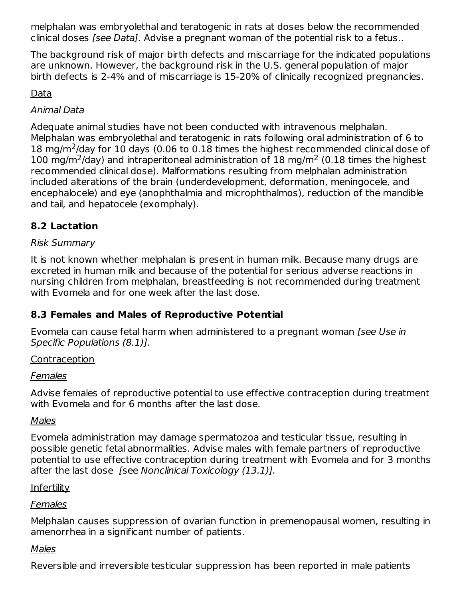melphalan was embryolethal and teratogenic in rats at doses below the recommended clinical doses [see Data]. Advise a pregnant woman of the potential risk to a fetus..

The background risk of major birth defects and miscarriage for the indicated populations are unknown. However, the background risk in the U.S. general population of major birth defects is 2-4% and of miscarriage is 15-20% of clinically recognized pregnancies.

### Data

### Animal Data

Adequate animal studies have not been conducted with intravenous melphalan. Melphalan was embryolethal and teratogenic in rats following oral administration of 6 to 18 mg/m<sup>2</sup>/day for 10 days (0.06 to 0.18 times the highest recommended clinical dose of 100 mg/m<sup>2</sup>/day) and intraperitoneal administration of 18 mg/m<sup>2</sup> (0.18 times the highest recommended clinical dose). Malformations resulting from melphalan administration included alterations of the brain (underdevelopment, deformation, meningocele, and encephalocele) and eye (anophthalmia and microphthalmos), reduction of the mandible and tail, and hepatocele (exomphaly).

## **8.2 Lactation**

### Risk Summary

It is not known whether melphalan is present in human milk. Because many drugs are excreted in human milk and because of the potential for serious adverse reactions in nursing children from melphalan, breastfeeding is not recommended during treatment with Evomela and for one week after the last dose.

### **8.3 Females and Males of Reproductive Potential**

Evomela can cause fetal harm when administered to a pregnant woman [see Use in Specific Populations (8.1)].

#### Contraception

#### Females

Advise females of reproductive potential to use effective contraception during treatment with Evomela and for 6 months after the last dose.

#### Males

Evomela administration may damage spermatozoa and testicular tissue, resulting in possible genetic fetal abnormalities. Advise males with female partners of reproductive potential to use effective contraception during treatment with Evomela and for 3 months after the last dose [see Nonclinical Toxicology (13.1)].

#### **Infertility**

#### **Females**

Melphalan causes suppression of ovarian function in premenopausal women, resulting in amenorrhea in a significant number of patients.

#### **Males**

Reversible and irreversible testicular suppression has been reported in male patients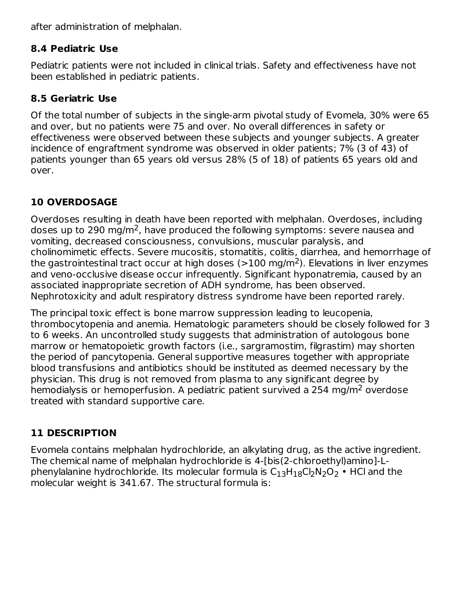after administration of melphalan.

### **8.4 Pediatric Use**

Pediatric patients were not included in clinical trials. Safety and effectiveness have not been established in pediatric patients.

## **8.5 Geriatric Use**

Of the total number of subjects in the single-arm pivotal study of Evomela, 30% were 65 and over, but no patients were 75 and over. No overall differences in safety or effectiveness were observed between these subjects and younger subjects. A greater incidence of engraftment syndrome was observed in older patients; 7% (3 of 43) of patients younger than 65 years old versus 28% (5 of 18) of patients 65 years old and over.

# **10 OVERDOSAGE**

Overdoses resulting in death have been reported with melphalan. Overdoses, including doses up to 290 mg/m<sup>2</sup>, have produced the following symptoms: severe nausea and vomiting, decreased consciousness, convulsions, muscular paralysis, and cholinomimetic effects. Severe mucositis, stomatitis, colitis, diarrhea, and hemorrhage of the gastrointestinal tract occur at high doses (>100 mg/m<sup>2</sup>). Elevations in liver enzymes and veno-occlusive disease occur infrequently. Significant hyponatremia, caused by an associated inappropriate secretion of ADH syndrome, has been observed. Nephrotoxicity and adult respiratory distress syndrome have been reported rarely.

The principal toxic effect is bone marrow suppression leading to leucopenia, thrombocytopenia and anemia. Hematologic parameters should be closely followed for 3 to 6 weeks. An uncontrolled study suggests that administration of autologous bone marrow or hematopoietic growth factors (i.e., sargramostim, filgrastim) may shorten the period of pancytopenia. General supportive measures together with appropriate blood transfusions and antibiotics should be instituted as deemed necessary by the physician. This drug is not removed from plasma to any significant degree by hemodialysis or hemoperfusion. A pediatric patient survived a 254 mg/m<sup>2</sup> overdose treated with standard supportive care.

# **11 DESCRIPTION**

Evomela contains melphalan hydrochloride, an alkylating drug, as the active ingredient. The chemical name of melphalan hydrochloride is 4-[bis(2-chloroethyl)amino]-Lphenylalanine hydrochloride. Its molecular formula is  $\mathsf{C}_{13}\mathsf{H}_{18}\mathsf{Cl}_2\mathsf{N}_2\mathsf{O}_2$  • HCl and the molecular weight is 341.67. The structural formula is: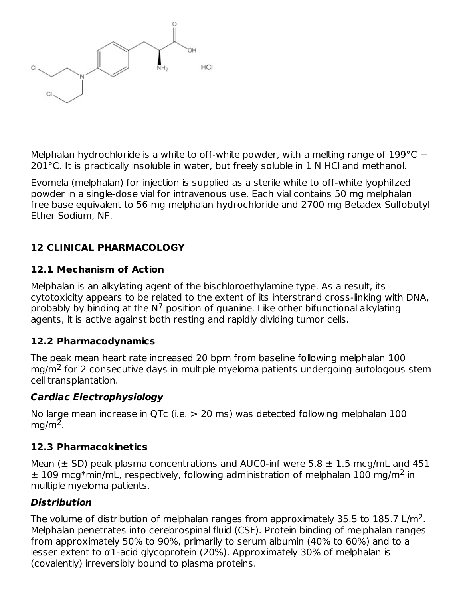

Melphalan hydrochloride is a white to off-white powder, with a melting range of 199°C − 201°C. It is practically insoluble in water, but freely soluble in 1 N HCl and methanol.

Evomela (melphalan) for injection is supplied as a sterile white to off-white lyophilized powder in a single-dose vial for intravenous use. Each vial contains 50 mg melphalan free base equivalent to 56 mg melphalan hydrochloride and 2700 mg Betadex Sulfobutyl Ether Sodium, NF.

## **12 CLINICAL PHARMACOLOGY**

### **12.1 Mechanism of Action**

Melphalan is an alkylating agent of the bischloroethylamine type. As a result, its cytotoxicity appears to be related to the extent of its interstrand cross-linking with DNA, probably by binding at the N<sup>7</sup> position of guanine. Like other bifunctional alkylating agents, it is active against both resting and rapidly dividing tumor cells.

### **12.2 Pharmacodynamics**

The peak mean heart rate increased 20 bpm from baseline following melphalan 100 mg/m<sup>2</sup> for 2 consecutive days in multiple myeloma patients undergoing autologous stem cell transplantation.

### **Cardiac Electrophysiology**

No large mean increase in QTc (i.e. > 20 ms) was detected following melphalan 100  $mg/m<sup>2</sup>$ .

### **12.3 Pharmacokinetics**

Mean ( $\pm$  SD) peak plasma concentrations and AUC0-inf were 5.8  $\pm$  1.5 mcg/mL and 451  $\pm$  109 mcg\*min/mL, respectively, following administration of melphalan 100 mg/m<sup>2</sup> in multiple myeloma patients.

### **Distribution**

The volume of distribution of melphalan ranges from approximately 35.5 to 185.7 L/m<sup>2</sup>. Melphalan penetrates into cerebrospinal fluid (CSF). Protein binding of melphalan ranges from approximately 50% to 90%, primarily to serum albumin (40% to 60%) and to a lesser extent to α1-acid glycoprotein (20%). Approximately 30% of melphalan is (covalently) irreversibly bound to plasma proteins.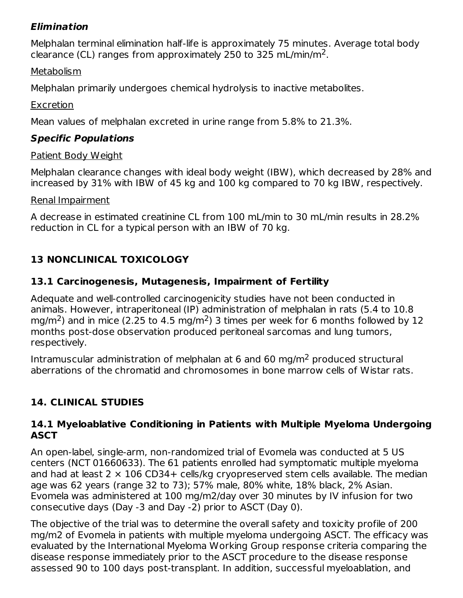### **Elimination**

Melphalan terminal elimination half-life is approximately 75 minutes. Average total body clearance (CL) ranges from approximately 250 to 325 mL/min/m<sup>2</sup>.

### **Metabolism**

Melphalan primarily undergoes chemical hydrolysis to inactive metabolites.

### **Excretion**

Mean values of melphalan excreted in urine range from 5.8% to 21.3%.

# **Specific Populations**

### Patient Body Weight

Melphalan clearance changes with ideal body weight (IBW), which decreased by 28% and increased by 31% with IBW of 45 kg and 100 kg compared to 70 kg IBW, respectively.

### Renal Impairment

A decrease in estimated creatinine CL from 100 mL/min to 30 mL/min results in 28.2% reduction in CL for a typical person with an IBW of 70 kg.

# **13 NONCLINICAL TOXICOLOGY**

## **13.1 Carcinogenesis, Mutagenesis, Impairment of Fertility**

Adequate and well-controlled carcinogenicity studies have not been conducted in animals. However, intraperitoneal (IP) administration of melphalan in rats (5.4 to 10.8 mg/m<sup>2</sup>) and in mice (2.25 to 4.5 mg/m<sup>2</sup>) 3 times per week for 6 months followed by 12 months post-dose observation produced peritoneal sarcomas and lung tumors, respectively.

Intramuscular administration of melphalan at 6 and 60 mg/m<sup>2</sup> produced structural aberrations of the chromatid and chromosomes in bone marrow cells of Wistar rats.

# **14. CLINICAL STUDIES**

### **14.1 Myeloablative Conditioning in Patients with Multiple Myeloma Undergoing ASCT**

An open-label, single-arm, non-randomized trial of Evomela was conducted at 5 US centers (NCT 01660633). The 61 patients enrolled had symptomatic multiple myeloma and had at least  $2 \times 106$  CD34+ cells/kg cryopreserved stem cells available. The median age was 62 years (range 32 to 73); 57% male, 80% white, 18% black, 2% Asian. Evomela was administered at 100 mg/m2/day over 30 minutes by IV infusion for two consecutive days (Day -3 and Day -2) prior to ASCT (Day 0).

The objective of the trial was to determine the overall safety and toxicity profile of 200 mg/m2 of Evomela in patients with multiple myeloma undergoing ASCT. The efficacy was evaluated by the International Myeloma Working Group response criteria comparing the disease response immediately prior to the ASCT procedure to the disease response assessed 90 to 100 days post-transplant. In addition, successful myeloablation, and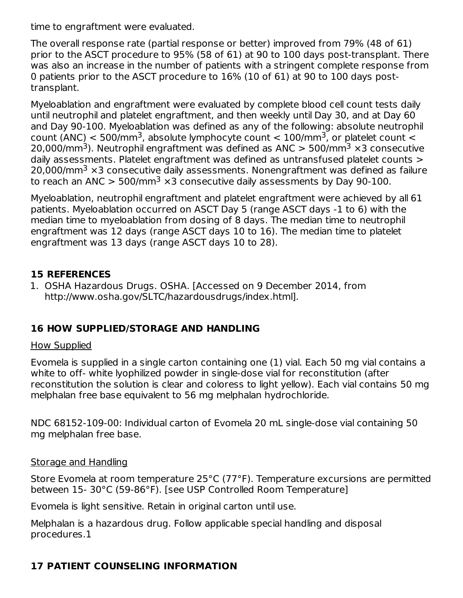time to engraftment were evaluated.

The overall response rate (partial response or better) improved from 79% (48 of 61) prior to the ASCT procedure to 95% (58 of 61) at 90 to 100 days post-transplant. There was also an increase in the number of patients with a stringent complete response from 0 patients prior to the ASCT procedure to 16% (10 of 61) at 90 to 100 days posttransplant.

Myeloablation and engraftment were evaluated by complete blood cell count tests daily until neutrophil and platelet engraftment, and then weekly until Day 30, and at Day 60 and Day 90-100. Myeloablation was defined as any of the following: absolute neutrophil count (ANC)  $<$  500/mm<sup>3</sup>, absolute lymphocyte count  $<$  100/mm<sup>3</sup>, or platelet count  $<$ 20,000/mm<sup>3</sup>). Neutrophil engraftment was defined as ANC  $>$  500/mm<sup>3</sup>  $\times$ 3 consecutive daily assessments. Platelet engraftment was defined as untransfused platelet counts > 20,000/mm $^3$   $\times$ 3 consecutive daily assessments. Nonengraftment was defined as failure to reach an ANC  $> 500/\text{mm}^3 \times$ 3 consecutive daily assessments by Day 90-100.

Myeloablation, neutrophil engraftment and platelet engraftment were achieved by all 61 patients. Myeloablation occurred on ASCT Day 5 (range ASCT days -1 to 6) with the median time to myeloablation from dosing of 8 days. The median time to neutrophil engraftment was 12 days (range ASCT days 10 to 16). The median time to platelet engraftment was 13 days (range ASCT days 10 to 28).

### **15 REFERENCES**

1. OSHA Hazardous Drugs. OSHA. [Accessed on 9 December 2014, from http://www.osha.gov/SLTC/hazardousdrugs/index.html].

### **16 HOW SUPPLIED/STORAGE AND HANDLING**

#### How Supplied

Evomela is supplied in a single carton containing one (1) vial. Each 50 mg vial contains a white to off- white lyophilized powder in single-dose vial for reconstitution (after reconstitution the solution is clear and coloress to light yellow). Each vial contains 50 mg melphalan free base equivalent to 56 mg melphalan hydrochloride.

NDC 68152-109-00: Individual carton of Evomela 20 mL single-dose vial containing 50 mg melphalan free base.

#### Storage and Handling

Store Evomela at room temperature 25°C (77°F). Temperature excursions are permitted between 15- 30°C (59-86°F). [see USP Controlled Room Temperature]

Evomela is light sensitive. Retain in original carton until use.

Melphalan is a hazardous drug. Follow applicable special handling and disposal procedures.1

# **17 PATIENT COUNSELING INFORMATION**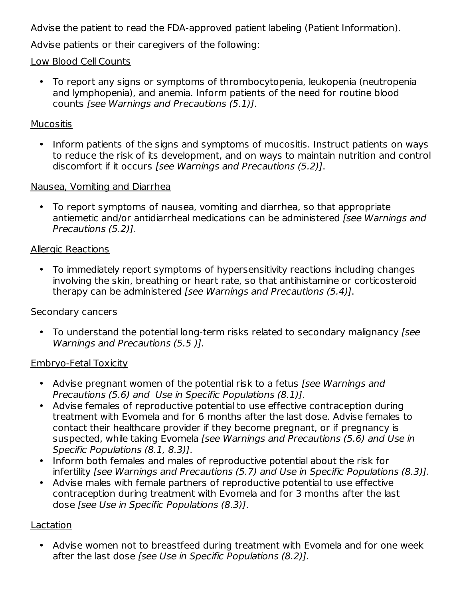Advise the patient to read the FDA-approved patient labeling (Patient Information).

Advise patients or their caregivers of the following:

### Low Blood Cell Counts

• To report any signs or symptoms of thrombocytopenia, leukopenia (neutropenia and lymphopenia), and anemia. Inform patients of the need for routine blood counts [see Warnings and Precautions (5.1)].

#### **Mucositis**

• Inform patients of the signs and symptoms of mucositis. Instruct patients on ways to reduce the risk of its development, and on ways to maintain nutrition and control discomfort if it occurs [see Warnings and Precautions (5.2)].

#### Nausea, Vomiting and Diarrhea

• To report symptoms of nausea, vomiting and diarrhea, so that appropriate antiemetic and/or antidiarrheal medications can be administered [see Warnings and Precautions (5.2)].

#### Allergic Reactions

• To immediately report symptoms of hypersensitivity reactions including changes involving the skin, breathing or heart rate, so that antihistamine or corticosteroid therapy can be administered [see Warnings and Precautions (5.4)].

#### Secondary cancers

• To understand the potential long-term risks related to secondary malignancy [see Warnings and Precautions (5.5 )].

#### Embryo-Fetal Toxicity

- Advise pregnant women of the potential risk to a fetus [see Warnings and Precautions (5.6) and Use in Specific Populations (8.1)].
- Advise females of reproductive potential to use effective contraception during treatment with Evomela and for 6 months after the last dose. Advise females to contact their healthcare provider if they become pregnant, or if pregnancy is suspected, while taking Evomela [see Warnings and Precautions (5.6) and Use in Specific Populations (8.1, 8.3)].
- Inform both females and males of reproductive potential about the risk for infertility [see Warnings and Precautions (5.7) and Use in Specific Populations (8.3)].
- Advise males with female partners of reproductive potential to use effective contraception during treatment with Evomela and for 3 months after the last dose [see Use in Specific Populations (8.3)].

### Lactation

• Advise women not to breastfeed during treatment with Evomela and for one week after the last dose [see Use in Specific Populations (8.2)].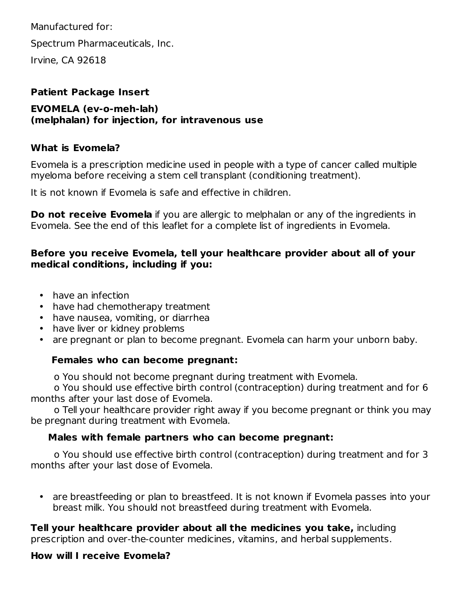Manufactured for: Spectrum Pharmaceuticals, Inc. Irvine, CA 92618

### **Patient Package Insert**

#### **EVOMELA (ev-o-meh-lah) (melphalan) for injection, for intravenous use**

### **What is Evomela?**

Evomela is a prescription medicine used in people with a type of cancer called multiple myeloma before receiving a stem cell transplant (conditioning treatment).

It is not known if Evomela is safe and effective in children.

**Do not receive Evomela** if you are allergic to melphalan or any of the ingredients in Evomela. See the end of this leaflet for a complete list of ingredients in Evomela.

### **Before you receive Evomela, tell your healthcare provider about all of your medical conditions, including if you:**

- have an infection
- have had chemotherapy treatment
- have nausea, vomiting, or diarrhea
- have liver or kidney problems
- are pregnant or plan to become pregnant. Evomela can harm your unborn baby.

### **Females who can become pregnant:**

o You should not become pregnant during treatment with Evomela.

o You should use effective birth control (contraception) during treatment and for 6 months after your last dose of Evomela.

o Tell your healthcare provider right away if you become pregnant or think you may be pregnant during treatment with Evomela.

### **Males with female partners who can become pregnant:**

o You should use effective birth control (contraception) during treatment and for 3 months after your last dose of Evomela.

• are breastfeeding or plan to breastfeed. It is not known if Evomela passes into your breast milk. You should not breastfeed during treatment with Evomela.

**Tell your healthcare provider about all the medicines you take,** including prescription and over-the-counter medicines, vitamins, and herbal supplements.

### **How will I receive Evomela?**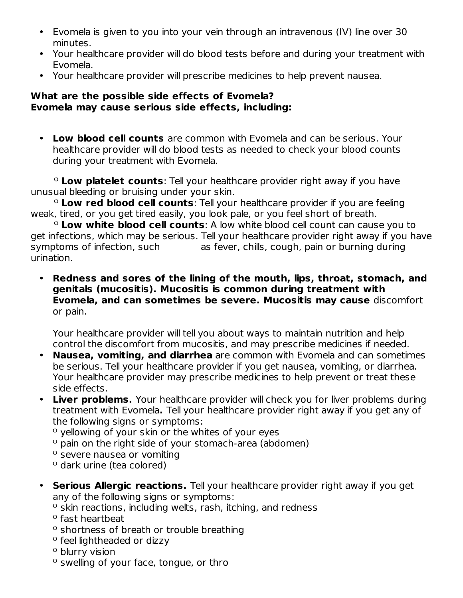- Evomela is given to you into your vein through an intravenous (IV) line over 30 minutes.
- Your healthcare provider will do blood tests before and during your treatment with Evomela.
- Your healthcare provider will prescribe medicines to help prevent nausea.

#### **What are the possible side effects of Evomela? Evomela may cause serious side effects, including:**

• **Low blood cell counts** are common with Evomela and can be serious. Your healthcare provider will do blood tests as needed to check your blood counts during your treatment with Evomela.

ᴼ **Low platelet counts**: Tell your healthcare provider right away if you have unusual bleeding or bruising under your skin.

ᴼ **Low red blood cell counts**: Tell your healthcare provider if you are feeling weak, tired, or you get tired easily, you look pale, or you feel short of breath.

ᴼ **Low white blood cell counts**: A low white blood cell count can cause you to get infections, which may be serious. Tell your healthcare provider right away if you have symptoms of infection, such as fever, chills, cough, pain or burning during urination.

• **Redness and sores of the lining of the mouth, lips, throat, stomach, and genitals (mucositis). Mucositis is common during treatment with Evomela, and can sometimes be severe. Mucositis may cause** discomfort or pain.

Your healthcare provider will tell you about ways to maintain nutrition and help control the discomfort from mucositis, and may prescribe medicines if needed.

- **Nausea, vomiting, and diarrhea** are common with Evomela and can sometimes be serious. Tell your healthcare provider if you get nausea, vomiting, or diarrhea. Your healthcare provider may prescribe medicines to help prevent or treat these side effects.
- **Liver problems.** Your healthcare provider will check you for liver problems during treatment with Evomela**.** Tell your healthcare provider right away if you get any of the following signs or symptoms:
	- ᴼ yellowing of your skin or the whites of your eyes
	- $\degree$  pain on the right side of your stomach-area (abdomen)
	- <sup>o</sup> severe nausea or vomiting
	- ᴼ dark urine (tea colored)
- **Serious Allergic reactions.** Tell your healthcare provider right away if you get any of the following signs or symptoms:
	- $\degree$  skin reactions, including welts, rash, itching, and redness
	- <sup>o</sup> fast heartbeat
	- ᴼ shortness of breath or trouble breathing
	- ᴼ feel lightheaded or dizzy
	- <sup>o</sup> blurry vision
	- <sup>o</sup> swelling of your face, tongue, or thro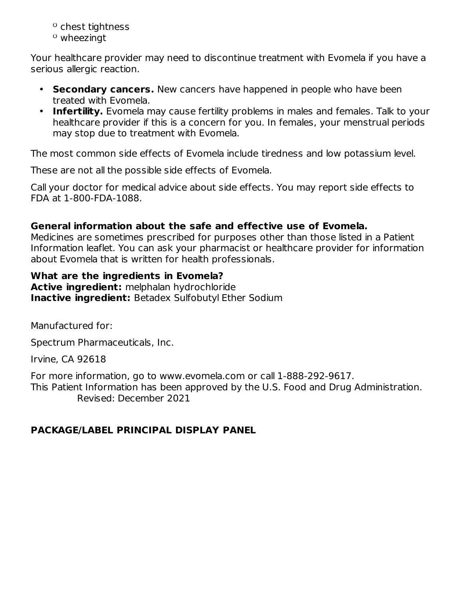- ᴼ chest tightness
- $^{\circ}$  wheezingt

Your healthcare provider may need to discontinue treatment with Evomela if you have a serious allergic reaction.

- **Secondary cancers.** New cancers have happened in people who have been treated with Evomela.
- **Infertility.** Evomela may cause fertility problems in males and females. Talk to your healthcare provider if this is a concern for you. In females, your menstrual periods may stop due to treatment with Evomela.

The most common side effects of Evomela include tiredness and low potassium level.

These are not all the possible side effects of Evomela.

Call your doctor for medical advice about side effects. You may report side effects to FDA at 1-800-FDA-1088.

#### **General information about the safe and effective use of Evomela.**

Medicines are sometimes prescribed for purposes other than those listed in a Patient Information leaflet. You can ask your pharmacist or healthcare provider for information about Evomela that is written for health professionals.

### **What are the ingredients in Evomela?**

**Active ingredient:** melphalan hydrochloride **Inactive ingredient:** Betadex Sulfobutyl Ether Sodium

Manufactured for:

Spectrum Pharmaceuticals, Inc.

Irvine, CA 92618

For more information, go to www.evomela.com or call 1-888-292-9617. This Patient Information has been approved by the U.S. Food and Drug Administration. Revised: December 2021

### **PACKAGE/LABEL PRINCIPAL DISPLAY PANEL**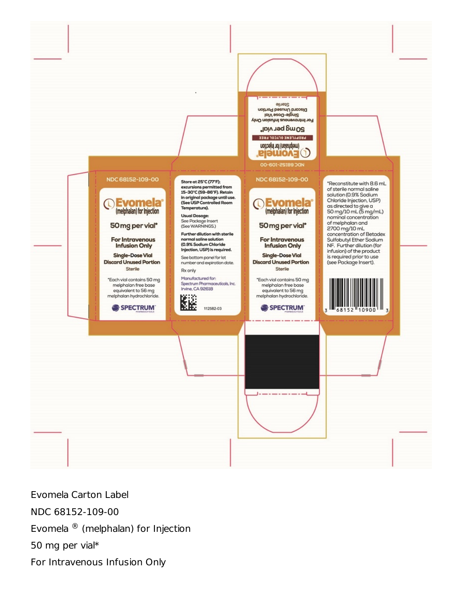

Evomela Carton Label NDC 68152-109-00 Evomela  $^{\circledR}$  (melphalan) for Injection 50 mg per vial\* For Intravenous Infusion Only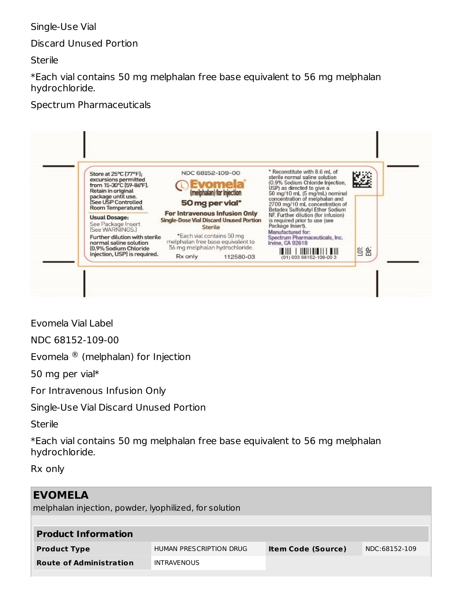### Single-Use Vial

Discard Unused Portion

**Sterile** 

\*Each vial contains 50 mg melphalan free base equivalent to 56 mg melphalan hydrochloride.

### Spectrum Pharmaceuticals



Evomela Vial Label

NDC 68152-109-00

Evomela  $\mathcal{R}$  (melphalan) for Injection

50 mg per vial\*

For Intravenous Infusion Only

Single-Use Vial Discard Unused Portion

**Sterile** 

\*Each vial contains 50 mg melphalan free base equivalent to 56 mg melphalan hydrochloride.

Rx only

| <b>EVOMELA</b><br>melphalan injection, powder, lyophilized, for solution |                         |                           |               |
|--------------------------------------------------------------------------|-------------------------|---------------------------|---------------|
| <b>Product Information</b>                                               |                         |                           |               |
| <b>Product Type</b>                                                      | HUMAN PRESCRIPTION DRUG | <b>Item Code (Source)</b> | NDC:68152-109 |
| <b>Route of Administration</b>                                           | <b>INTRAVENOUS</b>      |                           |               |
|                                                                          |                         |                           |               |